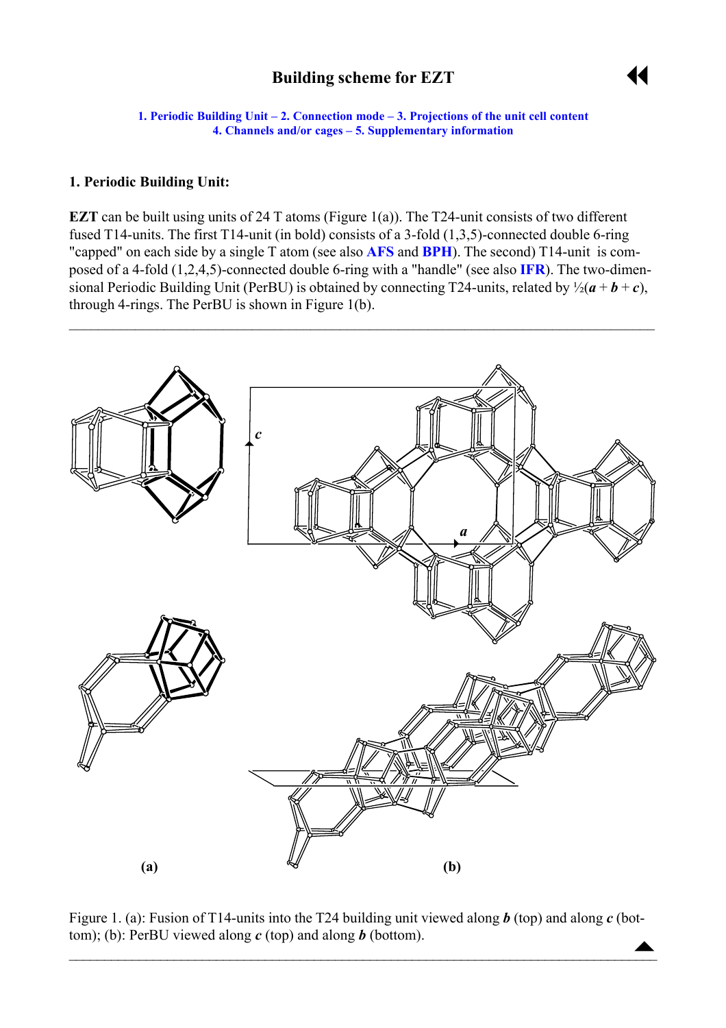# **Building scheme for EZT**



<span id="page-0-0"></span>**1. Periodic Building Unit – [2. Connection mode](#page-1-0) – [3. Projections of the unit cell conten](#page-1-0)t [4. Channels and/or cages](#page-1-0) – [5. Supplementary information](#page-2-0)**

#### **1. Periodic Building Unit:**

**EZT** can be built using units of 24 T atoms (Figure 1(a)). The T24-unit consists of two different fused T14-units. The first T14-unit (in bold) consists of a 3-fold (1,3,5)-connected double 6-ring "capped" on each side by a single T atom (see also **[AFS](http://www.iza-structure.org/databases/ModelBuilding/AFS.pdf)** and **[BPH](http://www.iza-structure.org/databases/ModelBuilding/AFS.pdf)**). The second) T14-unit is composed of a 4-fold (1,2,4,5)-connected double 6-ring with a "handle" (see also **[IFR](http://www.iza-structure.org/databases/ModelBuilding/IFR.pdf)**). The two-dimensional Periodic Building Unit (PerBU) is obtained by connecting T24-units, related by  $\frac{1}{2}(a + b + c)$ , through 4-rings. The PerBU is shown in Figure 1(b).



 $\blacktriangle$ Figure 1. (a): Fusion of T14-units into the T24 building unit viewed along *b* (top) and along *c* (bottom); (b): PerBU viewed along *c* (top) and along *b* (bottom).

 $\blacksquare$  . The contract of the contract of the contract of the contract of the contract of the contract of the contract of the contract of the contract of the contract of the contract of the contract of the contract of the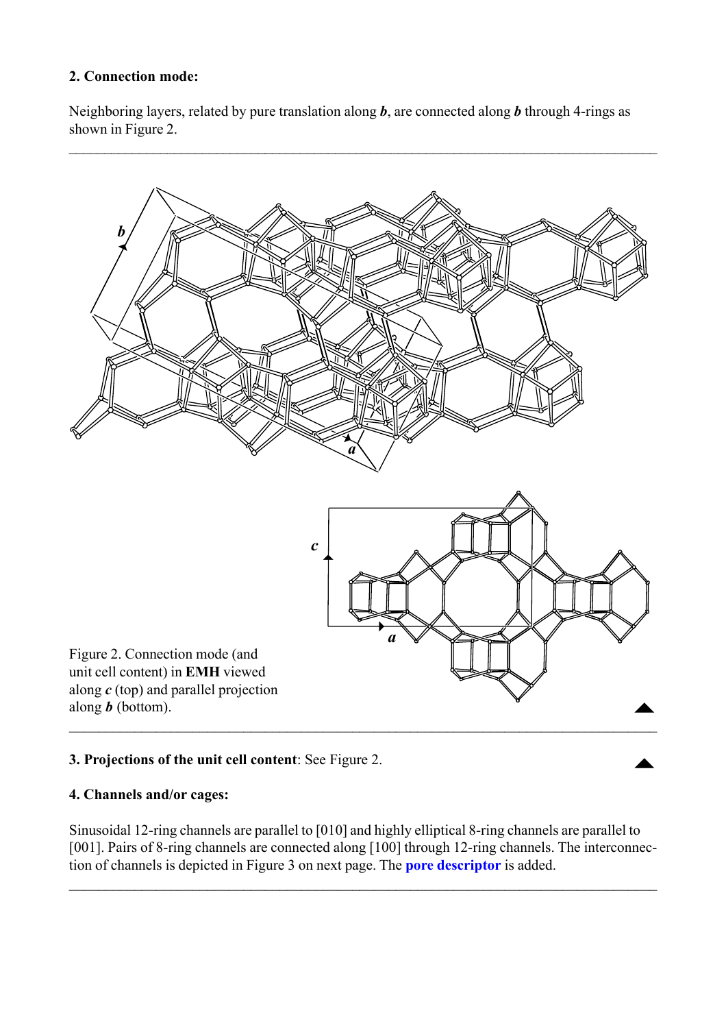## <span id="page-1-0"></span>**2. Connection mode:**

Neighboring layers, related by pure translation along *b*, are connected along *b* through 4-rings as shown in Figure 2.



# **3. Projections of the unit cell content**: See Figure 2.

## **4. Channels and/or cages:**

Sinusoidal 12-ring channels are parallel to [010] and highly elliptical 8-ring channels are parallel to [001]. Pairs of 8-ring channels are connected along [100] through 12-ring channels. The interconnection of channels is depicted in Figure 3 on next page. The **[pore descriptor](http://www.iza-structure.org/databases/ModelBuilding/Introduction.pdf)** is added.

 $\mathcal{L}_\mathcal{L} = \{ \mathcal{L}_\mathcal{L} = \{ \mathcal{L}_\mathcal{L} = \{ \mathcal{L}_\mathcal{L} = \{ \mathcal{L}_\mathcal{L} = \{ \mathcal{L}_\mathcal{L} = \{ \mathcal{L}_\mathcal{L} = \{ \mathcal{L}_\mathcal{L} = \{ \mathcal{L}_\mathcal{L} = \{ \mathcal{L}_\mathcal{L} = \{ \mathcal{L}_\mathcal{L} = \{ \mathcal{L}_\mathcal{L} = \{ \mathcal{L}_\mathcal{L} = \{ \mathcal{L}_\mathcal{L} = \{ \mathcal{L}_\mathcal{$